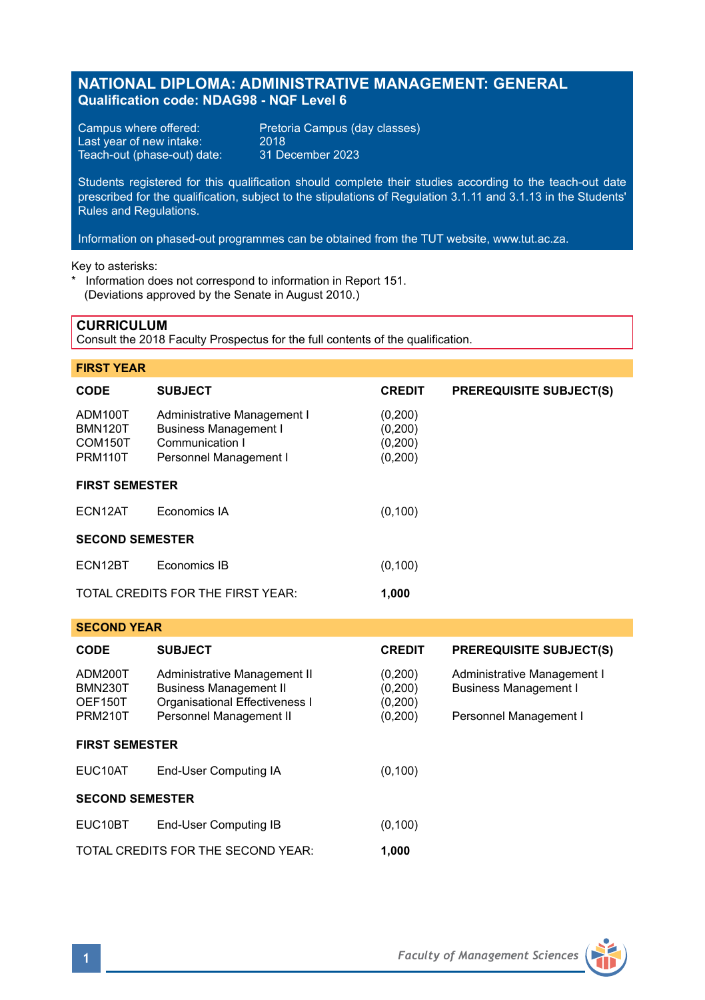## **NATIONAL DIPLOMA: ADMINISTRATIVE MANAGEMENT: GENERAL Qualification code: NDAG98 - NQF Level 6**

Last year of new intake: 2018<br>Teach-out (phase-out) date: 31 December 2023 Teach-out (phase-out) date:

Campus where offered: Pretoria Campus (day classes)<br>Last year of new intake: 2018

Students registered for this qualification should complete their studies according to the teach-out date prescribed for the qualification, subject to the stipulations of Regulation 3.1.11 and 3.1.13 in the Students' Rules and Regulations.

Information on phased-out programmes can be obtained from the TUT website, www.tut.ac.za.

Key to asterisks:

\* Information does not correspond to information in Report 151. (Deviations approved by the Senate in August 2010.)

#### **CURRICULUM**

Consult the 2018 Faculty Prospectus for the full contents of the qualification.

| <b>FIRST YEAR</b>                        |                                                                                                          |                                          |                                |  |  |
|------------------------------------------|----------------------------------------------------------------------------------------------------------|------------------------------------------|--------------------------------|--|--|
| <b>CODE</b>                              | <b>SUBJECT</b>                                                                                           | <b>CREDIT</b>                            | <b>PREREQUISITE SUBJECT(S)</b> |  |  |
| ADM100T<br>BMN120T<br>COM150T<br>PRM110T | Administrative Management I<br><b>Business Management I</b><br>Communication I<br>Personnel Management I | (0,200)<br>(0,200)<br>(0,200)<br>(0,200) |                                |  |  |
| <b>FIRST SEMESTER</b>                    |                                                                                                          |                                          |                                |  |  |
| ECN12AT                                  | Economics IA                                                                                             | (0, 100)                                 |                                |  |  |
| <b>SECOND SEMESTER</b>                   |                                                                                                          |                                          |                                |  |  |
| ECN12BT                                  | Economics IB                                                                                             | (0, 100)                                 |                                |  |  |
|                                          | TOTAL CREDITS FOR THE FIRST YEAR:                                                                        | 1,000                                    |                                |  |  |

#### **SECOND YEAR**

| <b>CODE</b>                                            | <b>SUBJECT</b>                                                                                                             | <b>CREDIT</b>                            | <b>PREREQUISITE SUBJECT(S)</b>                                                        |  |  |
|--------------------------------------------------------|----------------------------------------------------------------------------------------------------------------------------|------------------------------------------|---------------------------------------------------------------------------------------|--|--|
| ADM200T<br><b>BMN230T</b><br>OEF150T<br><b>PRM210T</b> | Administrative Management II<br><b>Business Management II</b><br>Organisational Effectiveness I<br>Personnel Management II | (0,200)<br>(0,200)<br>(0,200)<br>(0,200) | Administrative Management I<br><b>Business Management I</b><br>Personnel Management I |  |  |
| <b>FIRST SEMESTER</b>                                  |                                                                                                                            |                                          |                                                                                       |  |  |
| EUC10AT                                                | End-User Computing IA                                                                                                      | (0, 100)                                 |                                                                                       |  |  |
| <b>SECOND SEMESTER</b>                                 |                                                                                                                            |                                          |                                                                                       |  |  |
| EUC10BT                                                | End-User Computing IB                                                                                                      | (0, 100)                                 |                                                                                       |  |  |
| TOTAL CREDITS FOR THE SECOND YEAR:<br>1.000            |                                                                                                                            |                                          |                                                                                       |  |  |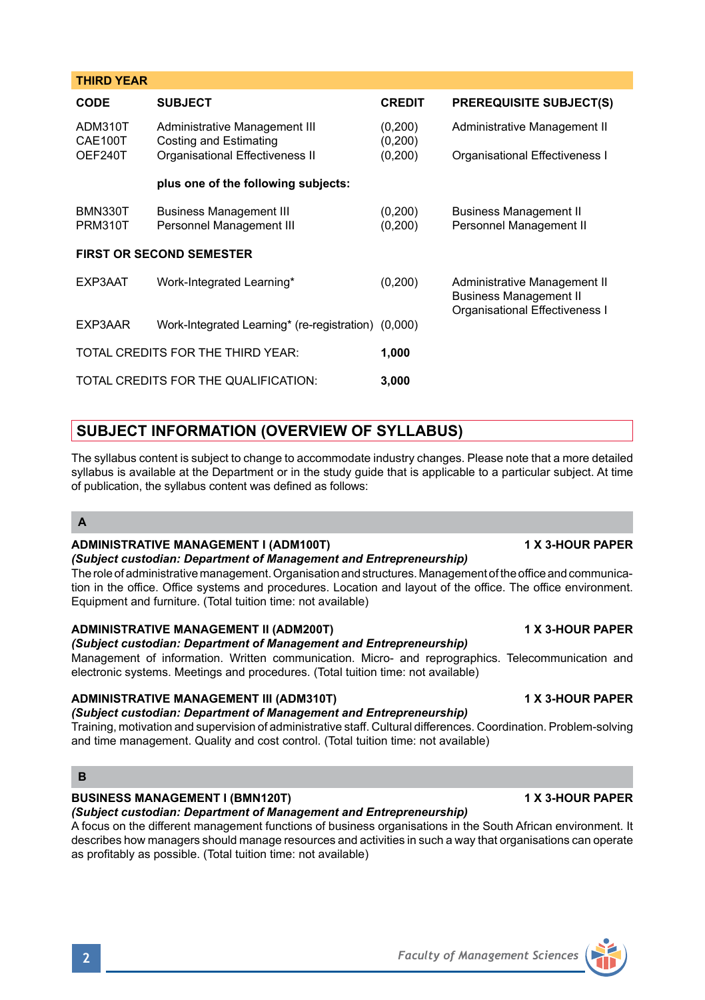| <b>CODE</b>        | <b>SUBJECT</b>                                          | <b>CREDIT</b>      | <b>PREREQUISITE SUBJECT(S)</b> |
|--------------------|---------------------------------------------------------|--------------------|--------------------------------|
| ADM310T<br>CAE100T | Administrative Management III<br>Costing and Estimating | (0.200)<br>(0.200) | Administrative Management II   |
| OEF240T            | Organisational Effectiveness II                         | (0.200)            | Organisational Effectiveness I |

**plus one of the following subjects:** BMN330T Business Management III (0,200) Business Management II

## **FIRST OR SECOND SEMESTER**

**THIRD YEAR**

| EXP3AAT | Work-Integrated Learning*                           | (0, 200) | Administrative Management II<br><b>Business Management II</b><br>Organisational Effectiveness I |  |
|---------|-----------------------------------------------------|----------|-------------------------------------------------------------------------------------------------|--|
| EXP3AAR | Work-Integrated Learning* (re-registration) (0,000) |          |                                                                                                 |  |
|         | TOTAL CREDITS FOR THE THIRD YEAR:                   | 1.000    |                                                                                                 |  |
|         | TOTAL CREDITS FOR THE QUALIFICATION:                | 3.000    |                                                                                                 |  |

# **SUBJECT INFORMATION (OVERVIEW OF SYLLABUS)**

The syllabus content is subject to change to accommodate industry changes. Please note that a more detailed syllabus is available at the Department or in the study guide that is applicable to a particular subject. At time of publication, the syllabus content was defined as follows:

Personnel Management III (0.200) Personnel Management II

## **A**

## **ADMINISTRATIVE MANAGEMENT I (ADM100T) 1 X 3-HOUR PAPER**

## *(Subject custodian: Department of Management and Entrepreneurship)*

The role of administrative management. Organisation and structures. Management of the office and communication in the office. Office systems and procedures. Location and layout of the office. The office environment. Equipment and furniture. (Total tuition time: not available)

## **ADMINISTRATIVE MANAGEMENT II (ADM200T) 1 X 3-HOUR PAPER**

#### *(Subject custodian: Department of Management and Entrepreneurship)* Management of information. Written communication. Micro- and reprographics. Telecommunication and electronic systems. Meetings and procedures. (Total tuition time: not available)

## **ADMINISTRATIVE MANAGEMENT III (ADM310T) 1 X 3-HOUR PAPER**

## *(Subject custodian: Department of Management and Entrepreneurship)*

Training, motivation and supervision of administrative staff. Cultural differences. Coordination. Problem-solving and time management. Quality and cost control. (Total tuition time: not available)

### **B**

## **BUSINESS MANAGEMENT I (BMN120T) 1 X 3-HOUR PAPER**

*(Subject custodian: Department of Management and Entrepreneurship)*

A focus on the different management functions of business organisations in the South African environment. It describes how managers should manage resources and activities in such a way that organisations can operate as profitably as possible. (Total tuition time: not available)

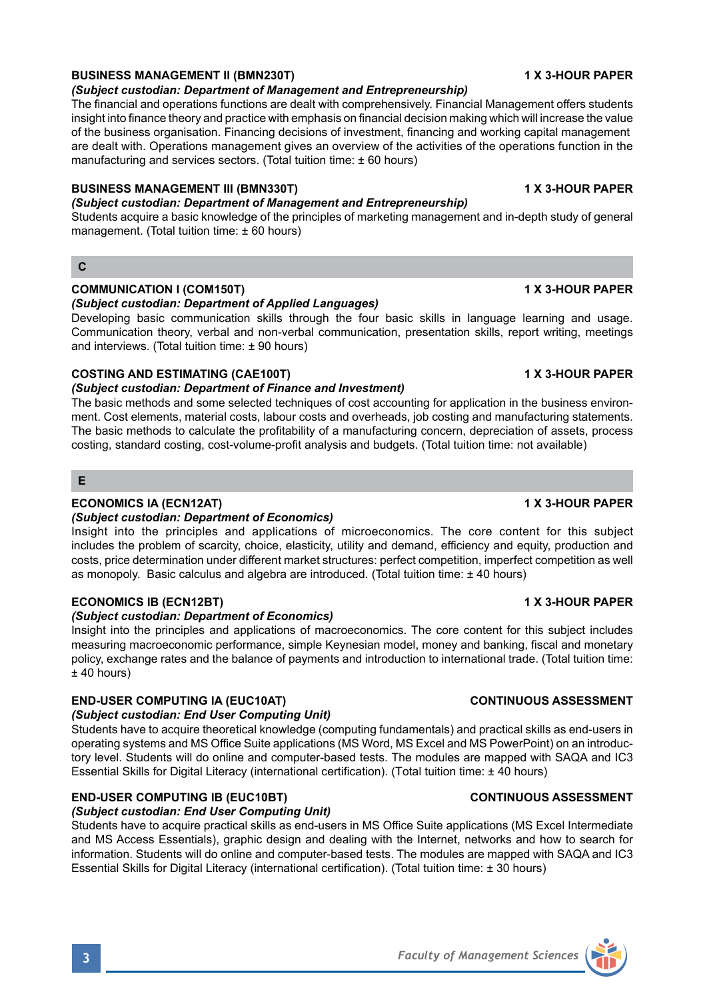## **BUSINESS MANAGEMENT II (BMN230T) 1 X 3-HOUR PAPER**

#### *(Subject custodian: Department of Management and Entrepreneurship)*

The financial and operations functions are dealt with comprehensively. Financial Management offers students insight into finance theory and practice with emphasis on financial decision making which will increase the value of the business organisation. Financing decisions of investment, financing and working capital management are dealt with. Operations management gives an overview of the activities of the operations function in the manufacturing and services sectors. (Total tuition time: ± 60 hours)

#### **BUSINESS MANAGEMENT III (BMN330T) 1 X 3-HOUR PAPER**

#### *(Subject custodian: Department of Management and Entrepreneurship)*

Students acquire a basic knowledge of the principles of marketing management and in-depth study of general management. (Total tuition time: ± 60 hours)

#### **C**

#### **COMMUNICATION I (COM150T) 1 X 3-HOUR PAPER**

*(Subject custodian: Department of Applied Languages)* Developing basic communication skills through the four basic skills in language learning and usage. Communication theory, verbal and non-verbal communication, presentation skills, report writing, meetings and interviews. (Total tuition time: ± 90 hours)

#### **COSTING AND ESTIMATING (CAE100T) 1 X 3-HOUR PAPER**

#### *(Subject custodian: Department of Finance and Investment)*

The basic methods and some selected techniques of cost accounting for application in the business environment. Cost elements, material costs, labour costs and overheads, job costing and manufacturing statements. The basic methods to calculate the profitability of a manufacturing concern, depreciation of assets, process costing, standard costing, cost-volume-profit analysis and budgets. (Total tuition time: not available)

#### **E**

### **ECONOMICS IA (ECN12AT) 1 X 3-HOUR PAPER**

### *(Subject custodian: Department of Economics)*

Insight into the principles and applications of microeconomics. The core content for this subject includes the problem of scarcity, choice, elasticity, utility and demand, efficiency and equity, production and costs, price determination under different market structures: perfect competition, imperfect competition as well as monopoly. Basic calculus and algebra are introduced. (Total tuition time: ± 40 hours)

#### **ECONOMICS IB (ECN12BT) 1 X 3-HOUR PAPER**

#### *(Subject custodian: Department of Economics)*

Insight into the principles and applications of macroeconomics. The core content for this subject includes measuring macroeconomic performance, simple Keynesian model, money and banking, fiscal and monetary policy, exchange rates and the balance of payments and introduction to international trade. (Total tuition time:  $±$  40 hours)

#### **END-USER COMPUTING IA (EUC10AT) CONTINUOUS ASSESSMENT**

#### *(Subject custodian: End User Computing Unit)*

Students have to acquire theoretical knowledge (computing fundamentals) and practical skills as end-users in operating systems and MS Office Suite applications (MS Word, MS Excel and MS PowerPoint) on an introductory level. Students will do online and computer-based tests. The modules are mapped with SAQA and IC3 Essential Skills for Digital Literacy (international certification). (Total tuition time: ± 40 hours)

### **END-USER COMPUTING IB (EUC10BT) CONTINUOUS ASSESSMENT**

### *(Subject custodian: End User Computing Unit)*

Students have to acquire practical skills as end-users in MS Office Suite applications (MS Excel Intermediate and MS Access Essentials), graphic design and dealing with the Internet, networks and how to search for information. Students will do online and computer-based tests. The modules are mapped with SAQA and IC3 Essential Skills for Digital Literacy (international certification). (Total tuition time: ± 30 hours)